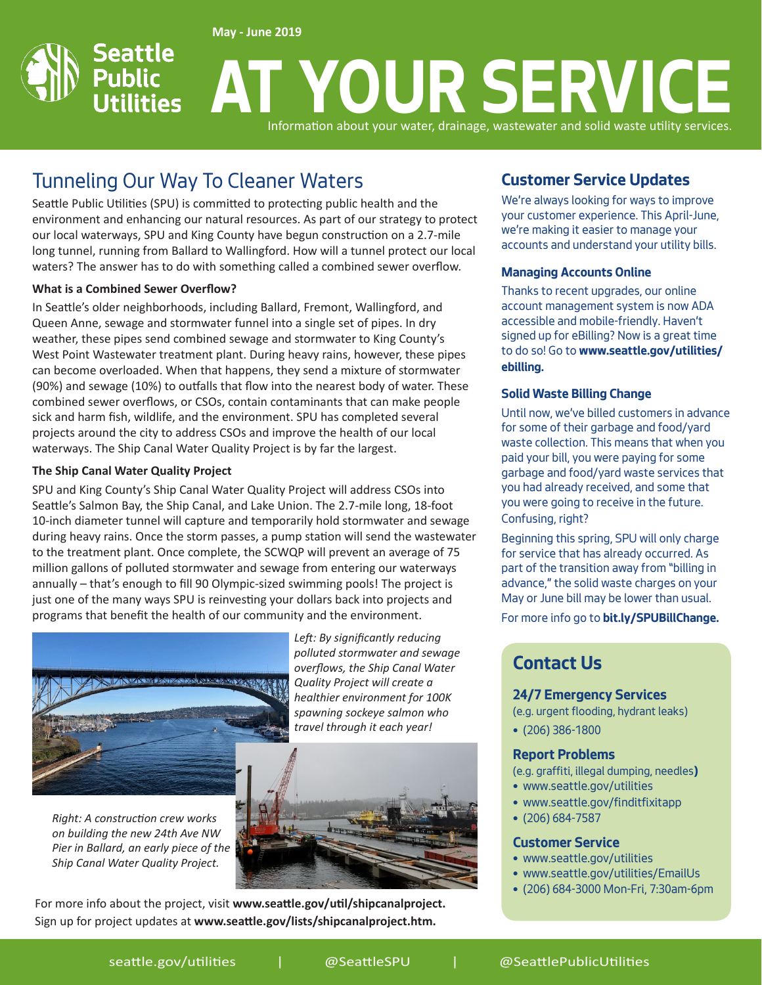**May - June 2019**

#### Seattle **AT YOUR SERVICE Public Utilities** Information about your water, drainage, wastewater and solid waste utility services.

# Tunneling Our Way To Cleaner Waters

Seattle Public Utilities (SPU) is committed to protecting public health and the environment and enhancing our natural resources. As part of our strategy to protect our local waterways, SPU and King County have begun construction on a 2.7-mile long tunnel, running from Ballard to Wallingford. How will a tunnel protect our local waters? The answer has to do with something called a combined sewer overflow.

#### **What is a Combined Sewer Overflow?**

In Seattle's older neighborhoods, including Ballard, Fremont, Wallingford, and Queen Anne, sewage and stormwater funnel into a single set of pipes. In dry weather, these pipes send combined sewage and stormwater to King County's West Point Wastewater treatment plant. During heavy rains, however, these pipes can become overloaded. When that happens, they send a mixture of stormwater (90%) and sewage (10%) to outfalls that flow into the nearest body of water. These combined sewer overflows, or CSOs, contain contaminants that can make people sick and harm fish, wildlife, and the environment. SPU has completed several projects around the city to address CSOs and improve the health of our local waterways. The Ship Canal Water Quality Project is by far the largest.

#### **The Ship Canal Water Quality Project**

to the treatment plant. Once complete, the SCWQP will prevent an average of 75 SPU and King County's Ship Canal Water Quality Project will address CSOs into Seattle's Salmon Bay, the Ship Canal, and Lake Union. The 2.7-mile long, 18-foot 10-inch diameter tunnel will capture and temporarily hold stormwater and sewage during heavy rains. Once the storm passes, a pump station will send the wastewater million gallons of polluted stormwater and sewage from entering our waterways annually – that's enough to fill 90 Olympic-sized swimming pools! The project is just one of the many ways SPU is reinvesting your dollars back into projects and programs that benefit the health of our community and the environment.



*Right: A construction crew works on building the new 24th Ave NW Pier in Ballard, an early piece of the Ship Canal Water Quality Project.*

*Left: By significantly reducing polluted stormwater and sewage overflows, the Ship Canal Water Quality Project will create a healthier environment for 100K spawning sockeye salmon who travel through it each year!*



For more info about the project, visit **www.seattle.gov/util/shipcanalproject.** Sign up for project updates at **www.seattle.gov/lists/shipcanalproject.htm.**

### **Customer Service Updates**

We're always looking for ways to improve your customer experience. This April-June, we're making it easier to manage your accounts and understand your utility bills.

#### **Managing Accounts Online**

Thanks to recent upgrades, our online account management system is now ADA accessible and mobile-friendly. Haven't signed up for eBilling? Now is a great time to do so! Go to **www.seattle.gov/utilities/ ebilling.**

#### **Solid Waste Billing Change**

Until now, we've billed customers in advance for some of their garbage and food/yard waste collection. This means that when you paid your bill, you were paying for some garbage and food/yard waste services that you had already received, and some that you were going to receive in the future. Confusing, right?

Beginning this spring, SPU will only charge for service that has already occurred. As part of the transition away from "billing in advance," the solid waste charges on your May or June bill may be lower than usual.

For more info go to **bit.ly/SPUBillChange.**

# **Contact Us**

#### **24/7 Emergency Services**

(e.g. urgent flooding, hydrant leaks)

• (206) 386-1800

#### **Report Problems**

(e.g. graffiti, illegal dumping, needles**)**

- www.seattle.gov/utilities
- www.seattle.gov/finditfixitapp
- (206) 684-7587

#### **Customer Service**

- www.seattle.gov/utilities
- www.seattle.gov/utilities/EmailUs
- (206) 684-3000 Mon-Fri, 7:30am-6pm